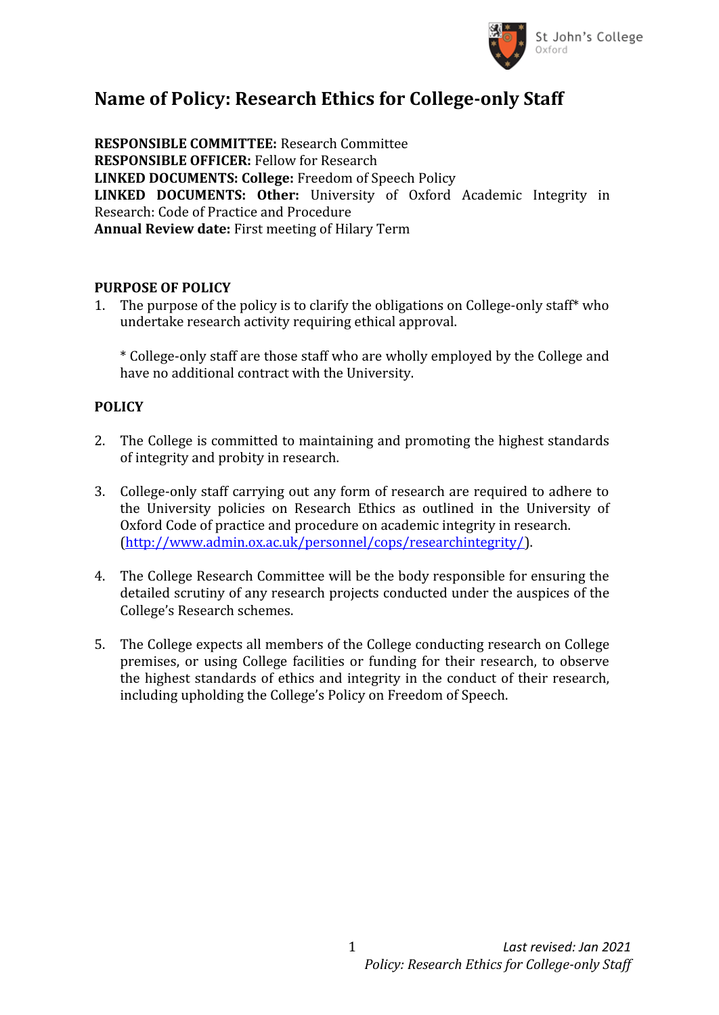

## **Name of Policy: Research Ethics for College-only Staff**

**RESPONSIBLE COMMITTEE:** Research Committee **RESPONSIBLE OFFICER:** Fellow for Research **LINKED DOCUMENTS: College:** Freedom of Speech Policy **LINKED DOCUMENTS: Other:** University of Oxford Academic Integrity in Research: Code of Practice and Procedure **Annual Review date:** First meeting of Hilary Term

## **PURPOSE OF POLICY**

1. The purpose of the policy is to clarify the obligations on College-only staff\* who undertake research activity requiring ethical approval.

\* College-only staff are those staff who are wholly employed by the College and have no additional contract with the University.

## **POLICY**

- 2. The College is committed to maintaining and promoting the highest standards of integrity and probity in research.
- 3. College-only staff carrying out any form of research are required to adhere to the University policies on Research Ethics as outlined in the University of Oxford Code of practice and procedure on academic integrity in research. (<http://www.admin.ox.ac.uk/personnel/cops/researchintegrity/>).
- 4. The College Research Committee will be the body responsible for ensuring the detailed scrutiny of any research projects conducted under the auspices of the College's Research schemes.
- 5. The College expects all members of the College conducting research on College premises, or using College facilities or funding for their research, to observe the highest standards of ethics and integrity in the conduct of their research, including upholding the College's Policy on Freedom of Speech.